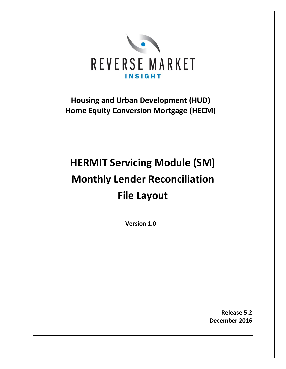

**Housing and Urban Development (HUD) Home Equity Conversion Mortgage (HECM)**

# **HERMIT Servicing Module (SM) Monthly Lender Reconciliation File Layout**

**Version 1.0**

**Release 5.2 December 2016**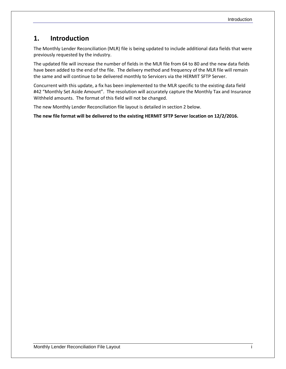## **1. Introduction**

The Monthly Lender Reconciliation (MLR) file is being updated to include additional data fields that were previously requested by the industry.

The updated file will increase the number of fields in the MLR file from 64 to 80 and the new data fields have been added to the end of the file. The delivery method and frequency of the MLR file will remain the same and will continue to be delivered monthly to Servicers via the HERMIT SFTP Server.

Concurrent with this update, a fix has been implemented to the MLR specific to the existing data field #42 "Monthly Set Aside Amount". The resolution will accurately capture the Monthly Tax and Insurance Withheld amounts. The format of this field will not be changed.

The new Monthly Lender Reconciliation file layout is detailed in section 2 below.

**The new file format will be delivered to the existing HERMIT SFTP Server location on 12/2/2016.**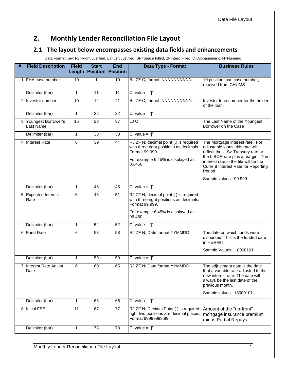## **2. Monthly Lender Reconciliation File Layout**

## **2.1 The layout below encompasses existing data fields and enhancements**

Data Format Key: RJ=Right Justified, LJ=Left Justified, SF=Space Filled, ZF=Zero Filled, C=Alphanumeric, N=Numeric

| #              | <b>Field Description</b>           | <b>Field</b> | <b>Start</b><br><b>Length   Position   Position</b> | <b>End</b> | Data Type - Format                                                                                                                                 | <b>Business Rules</b>                                                                                                                                                                                                                          |
|----------------|------------------------------------|--------------|-----------------------------------------------------|------------|----------------------------------------------------------------------------------------------------------------------------------------------------|------------------------------------------------------------------------------------------------------------------------------------------------------------------------------------------------------------------------------------------------|
|                | 1 FHA case number                  | 10           | 1                                                   | 10         | RJ ZF C; format 'NNNNNNNNNN'                                                                                                                       | 10 position loan case number,<br>received from CHUMS                                                                                                                                                                                           |
|                | Delimiter (bar)                    | $\mathbf{1}$ | $\overline{11}$                                     | 11         | C; value = " $ $ "                                                                                                                                 |                                                                                                                                                                                                                                                |
|                | 2 Investor number                  | 10           | 12                                                  | 21         | RJ ZF C; format 'NNNNNNNNNN'                                                                                                                       | Investor loan number for the holder<br>of the loan.                                                                                                                                                                                            |
|                | Delimiter (bar)                    | $\mathbf{1}$ | 22                                                  | 22         | C; value = " $\vert$ "                                                                                                                             |                                                                                                                                                                                                                                                |
|                | 3 Youngest Borrower's<br>Last Name | 15           | 23                                                  | 37         | LJC                                                                                                                                                | The Last Name of the Youngest<br>Borrower on the Case                                                                                                                                                                                          |
|                | Delimiter (bar)                    | $\mathbf{1}$ | 38                                                  | 38         | C; value = " $ $ "                                                                                                                                 |                                                                                                                                                                                                                                                |
| 4              | <b>Interest Rate</b>               | 6            | 39                                                  | 44         | RJ ZF N; decimal point (.) is required<br>with three right positions as decimals.<br>Format 99.999.<br>For example 6.45% is displayed as<br>06.450 | The Mortgage interest rate. For<br>adjustable loans, this rate will<br>reflect the U.S> Treasury rate or<br>the LIBOR rate plus a margin. The<br>interest rate in the file will be the<br><b>Current Interest Rate for Reporting</b><br>Period |
|                |                                    |              |                                                     |            |                                                                                                                                                    | Sample values: 99.999                                                                                                                                                                                                                          |
|                | Delimiter (bar)                    | 1            | 45                                                  | 45         | C; value = " $\vert$ "                                                                                                                             |                                                                                                                                                                                                                                                |
| 5              | <b>Expected Interest</b><br>Rate   | 6            | 46                                                  | 51         | RJ ZF N; decimal point (.) is required<br>with three right positions as decimals.<br>Format 99.999.<br>For example 6.45% is displayed as<br>06.450 |                                                                                                                                                                                                                                                |
|                | Delimiter (bar)                    | 1            | 52                                                  | 52         | C; value = " $"$                                                                                                                                   |                                                                                                                                                                                                                                                |
|                | 6 Fund Date                        | 6            | 53                                                  | 58         | RJ ZF N; Date format YYMMDD                                                                                                                        | The date on which funds were<br>disbursed. This is the funded date<br>in HERMIT<br>Sample Values: 18000101                                                                                                                                     |
|                | Delimiter (bar)                    | $\mathbf{1}$ | 59                                                  | 59         | C; value = " $"$                                                                                                                                   |                                                                                                                                                                                                                                                |
| $\overline{7}$ | Interest Rate Adjust<br>Date       | 6            | 60                                                  | 65         | RJ ZF N; Date format YYMMDD                                                                                                                        | The adjustment date is the date<br>that a variable rate adjusted to the<br>new interest rate. The date will<br>always be the last date of the<br>previous month.                                                                               |
|                |                                    |              |                                                     |            |                                                                                                                                                    | Sample values: 18000101                                                                                                                                                                                                                        |
|                | Delimiter (bar)                    | 1            | 66                                                  | 66         | C; value = " $ $ "                                                                                                                                 |                                                                                                                                                                                                                                                |
| 8              | Initial FEE                        | 11           | 67                                                  | 77         | RJ ZF N; Decimal Point (.) is required;<br>right two positions are decimal places.<br>Format 99999999.99                                           | Amount of the "up-front"<br>mortgage insurance premium<br>minus Partial Repays.                                                                                                                                                                |
|                | Delimiter (bar)                    | 1            | 78                                                  | 78         | C; value = " $ $ "                                                                                                                                 |                                                                                                                                                                                                                                                |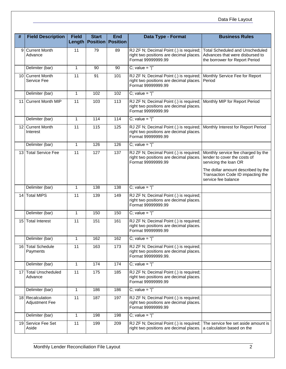| #               | <b>Field Description</b>            | <b>Field</b>    | <b>Start</b><br><b>Length Position Position</b> | <b>End</b>      | Data Type - Format                                                                                        | <b>Business Rules</b>                                                                                       |
|-----------------|-------------------------------------|-----------------|-------------------------------------------------|-----------------|-----------------------------------------------------------------------------------------------------------|-------------------------------------------------------------------------------------------------------------|
| 9               | <b>Current Month</b><br>Advance     | 11              | 79                                              | 89              | RJ ZF N; Decimal Point (.) is required;<br>right two positions are decimal places.<br>Format 99999999.99  | <b>Total Scheduled and Unscheduled</b><br>Advances that were disbursed to<br>the borrower for Report Period |
|                 | Delimiter (bar)                     | $\mathbf{1}$    | 90                                              | 90              | C; value = " $ $ "                                                                                        |                                                                                                             |
|                 | 10 Current Month<br>Service Fee     | $\overline{11}$ | 91                                              | 101             | RJ ZF N; Decimal Point (.) is required;<br>right two positions are decimal places.<br>Format 99999999.99  | Monthly Service Fee for Report<br>Period                                                                    |
|                 | Delimiter (bar)                     | $\mathbf{1}$    | 102                                             | 102             | C; value = " $"$                                                                                          |                                                                                                             |
|                 | 11 Current Month MIP                | 11              | 103                                             | 113             | RJ ZF N; Decimal Point (.) is required;<br>right two positions are decimal places.<br>Format 99999999.99  | Monthly MIP for Report Period                                                                               |
|                 | Delimiter (bar)                     | $\mathbf{1}$    | 114                                             | 114             | C; value = " $ $ "                                                                                        |                                                                                                             |
|                 | 12 Current Month<br>Interest        | 11              | 115                                             | 125             | RJ ZF N; Decimal Point (.) is required;<br>right two positions are decimal places.<br>Format 99999999.99  | Monthly Interest for Report Period                                                                          |
|                 | Delimiter (bar)                     | $\mathbf{1}$    | 126                                             | 126             | C; value = " $ $ "                                                                                        |                                                                                                             |
| 13              | <b>Total Service Fee</b>            | 11              | 127                                             | 137             | RJ ZF N; Decimal Point (.) is required;<br>right two positions are decimal places.<br>Format 99999999.99  | Monthly service fee charged by the<br>lender to cover the costs of<br>servicing the loan OR                 |
|                 |                                     |                 |                                                 |                 |                                                                                                           | The dollar amount described by the<br>Transaction Code ID impacting the<br>service fee balance              |
|                 | Delimiter (bar)                     | $\mathbf{1}$    | 138                                             | 138             | C; value = " $ $ "                                                                                        |                                                                                                             |
| 14 <sup>1</sup> | <b>Total MIPS</b>                   | 11              | 139                                             | 149             | RJ ZF N; Decimal Point (.) is required;<br>right two positions are decimal places.<br>Format 99999999.99  |                                                                                                             |
|                 | Delimiter (bar)                     | $\mathbf{1}$    | 150                                             | 150             | C; value = " $ $ "                                                                                        |                                                                                                             |
| 15 I            | <b>Total Interest</b>               | 11              | 151                                             | 161             | RJ ZF N; Decimal Point (.) is required;<br>right two positions are decimal places.<br>Format 99999999.99  |                                                                                                             |
|                 | Delimiter (bar)                     | 1               | 162                                             | 162             | C; value = " $ $ "                                                                                        |                                                                                                             |
| 16 <sup>1</sup> | <b>Total Schedule</b><br>Payments   | 11              | 163                                             | 173             | RJ ZF N; Decimal Point (.) is required;<br>right two positions are decimal places.<br>Format 99999999.99. |                                                                                                             |
|                 | Delimiter (bar)                     | $\mathbf{1}$    | 174                                             | $\frac{1}{174}$ | C; value = " $"$                                                                                          |                                                                                                             |
| 17 <sup>1</sup> | <b>Total Unscheduled</b><br>Advance | 11              | 175                                             | 185             | RJ ZF N; Decimal Point (.) is required;<br>right two positions are decimal places.<br>Format 99999999.99  |                                                                                                             |
|                 | Delimiter (bar)                     | 1               | 186                                             | 186             | C; value = " $ $ "                                                                                        |                                                                                                             |
|                 | 18 Recalculation<br>Adjustment Fee  | 11              | 187                                             | 197             | RJ ZF N; Decimal Point (.) is required;<br>right two positions are decimal places.<br>Format 99999999.99  |                                                                                                             |
|                 | Delimiter (bar)                     | 1               | 198                                             | 198             | C; value = " $ $ "                                                                                        |                                                                                                             |
| 19              | Service Fee Set<br>Aside            | 11              | 199                                             | 209             | RJ ZF N; Decimal Point (.) is required;<br>right two positions are decimal places.                        | The service fee set aside amount is<br>a calculation based on the                                           |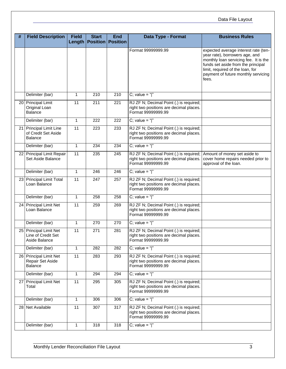### Data File Layout

| #               | <b>Field Description</b>                                      | <b>Field</b>    | <b>Start</b><br>Length   Position   Position | <b>End</b> | Data Type - Format                                                                                       | <b>Business Rules</b>                                                                                                                                                                                                                     |
|-----------------|---------------------------------------------------------------|-----------------|----------------------------------------------|------------|----------------------------------------------------------------------------------------------------------|-------------------------------------------------------------------------------------------------------------------------------------------------------------------------------------------------------------------------------------------|
|                 |                                                               |                 |                                              |            | Format 99999999.99                                                                                       | expected average interest rate (ten-<br>year rate), borrowers age, and<br>monthly loan servicing fee. It is the<br>funds set aside from the principal<br>limit, required of the loan, for<br>payment of future monthly servicing<br>fees. |
|                 | Delimiter (bar)                                               | 1               | 210                                          | 210        | C; value = " $"$                                                                                         |                                                                                                                                                                                                                                           |
|                 | 20 Principal Limit<br>Original Loan<br><b>Balance</b>         | 11              | 211                                          | 221        | RJ ZF N; Decimal Point (.) is required;<br>right two positions are decimal places.<br>Format 99999999.99 |                                                                                                                                                                                                                                           |
|                 | Delimiter (bar)                                               | $\mathbf{1}$    | 222                                          | 222        | C; value = " $ $ "                                                                                       |                                                                                                                                                                                                                                           |
| 21              | Principal Limit Line<br>of Credit Set Aside<br>Balance        | 11              | 223                                          | 233        | RJ ZF N; Decimal Point (.) is required;<br>right two positions are decimal places.<br>Format 99999999.99 |                                                                                                                                                                                                                                           |
|                 | Delimiter (bar)                                               | $\mathbf{1}$    | 234                                          | 234        | C; value = " $"$                                                                                         |                                                                                                                                                                                                                                           |
| 22              | Principal Limit Repair<br>Set Aside Balance                   | 11              | 235                                          | 245        | RJ ZF N; Decimal Point (.) is required;<br>right two positions are decimal places.<br>Format 99999999.99 | Amount of money set aside to<br>cover home repairs needed prior to<br>approval of the loan.                                                                                                                                               |
|                 | Delimiter (bar)                                               | $\mathbf{1}$    | 246                                          | 246        | C; value = " $"$                                                                                         |                                                                                                                                                                                                                                           |
| 23              | <b>Principal Limit Total</b><br>Loan Balance                  | 11              | 247                                          | 257        | RJ ZF N; Decimal Point (.) is required;<br>right two positions are decimal places.<br>Format 99999999.99 |                                                                                                                                                                                                                                           |
|                 | Delimiter (bar)                                               | $\mathbf{1}$    | 258                                          | 258        | C; value = " $ $ "                                                                                       |                                                                                                                                                                                                                                           |
|                 | 24 Principal Limit Net<br>Loan Balance                        | 11              | 259                                          | 269        | RJ ZF N; Decimal Point (.) is required;<br>right two positions are decimal places.<br>Format 99999999.99 |                                                                                                                                                                                                                                           |
|                 | Delimiter (bar)                                               | 1               | 270                                          | 270        | C; value = " $ $ "                                                                                       |                                                                                                                                                                                                                                           |
|                 | 25 Principal Limit Net<br>Line of Credit Set<br>Aside Balance | $\overline{11}$ | 271                                          | 281        | RJ ZF N; Decimal Point (.) is required;<br>right two positions are decimal places.<br>Format 99999999.99 |                                                                                                                                                                                                                                           |
|                 | Delimiter (bar)                                               | $\mathbf{1}$    | 282                                          | 282        | C; value = " $ $ "                                                                                       |                                                                                                                                                                                                                                           |
|                 | 26 Principal Limit Net<br>Repair Set Aside<br><b>Balance</b>  | 11              | 283                                          | 293        | RJ ZF N; Decimal Point (.) is required;<br>right two positions are decimal places.<br>Format 99999999.99 |                                                                                                                                                                                                                                           |
|                 | Delimiter (bar)                                               | $\mathbf{1}$    | 294                                          | 294        | C; value = " $ $ "                                                                                       |                                                                                                                                                                                                                                           |
| 27 <sup>1</sup> | Principal Limit Net<br>Total                                  | 11              | 295                                          | 305        | RJ ZF N; Decimal Point (.) is required;<br>right two positions are decimal places.<br>Format 99999999.99 |                                                                                                                                                                                                                                           |
|                 | Delimiter (bar)                                               | $\mathbf{1}$    | 306                                          | 306        | C; value = " $ $ "                                                                                       |                                                                                                                                                                                                                                           |
|                 | 28 Net Available                                              | 11              | 307                                          | 317        | RJ ZF N; Decimal Point (.) is required;<br>right two positions are decimal places.<br>Format 99999999.99 |                                                                                                                                                                                                                                           |
|                 | Delimiter (bar)                                               | $\mathbf{1}$    | 318                                          | 318        | $C$ ; value = " "                                                                                        |                                                                                                                                                                                                                                           |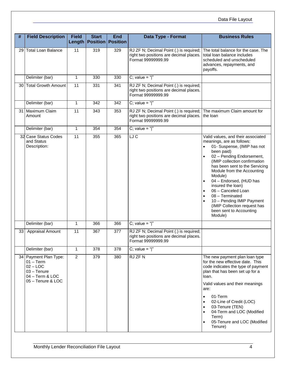| #               | <b>Field Description</b>                                                                                  | <b>Field</b><br>Length | <b>Start</b><br><b>Position Position</b> | <b>End</b> | Data Type - Format                                                                                       | <b>Business Rules</b>                                                                                                                                                                                                                                                                                                                                                                                                                             |
|-----------------|-----------------------------------------------------------------------------------------------------------|------------------------|------------------------------------------|------------|----------------------------------------------------------------------------------------------------------|---------------------------------------------------------------------------------------------------------------------------------------------------------------------------------------------------------------------------------------------------------------------------------------------------------------------------------------------------------------------------------------------------------------------------------------------------|
| 29              | <b>Total Loan Balance</b>                                                                                 | 11                     | 319                                      | 329        | RJ ZF N; Decimal Point (.) is required;<br>right two positions are decimal places.<br>Format 99999999.99 | The total balance for the case. The<br>total loan balance includes<br>scheduled and unscheduled<br>advances, repayments, and<br>payoffs.                                                                                                                                                                                                                                                                                                          |
|                 | Delimiter (bar)                                                                                           | $\mathbf{1}$           | 330                                      | 330        | C; value = " $"$                                                                                         |                                                                                                                                                                                                                                                                                                                                                                                                                                                   |
| 30 I            | <b>Total Growth Amount</b>                                                                                | 11                     | 331                                      | 341        | RJ ZF N; Decimal Point (.) is required;<br>right two positions are decimal places.<br>Format 99999999.99 |                                                                                                                                                                                                                                                                                                                                                                                                                                                   |
|                 | Delimiter (bar)                                                                                           | $\mathbf{1}$           | 342                                      | 342        | C; value = " $"$                                                                                         |                                                                                                                                                                                                                                                                                                                                                                                                                                                   |
|                 | 31 Maximum Claim<br>Amount                                                                                | 11                     | 343                                      | 353        | RJ ZF N; Decimal Point (.) is required;<br>right two positions are decimal places.<br>Format 99999999.99 | The maximum Claim amount for<br>the loan                                                                                                                                                                                                                                                                                                                                                                                                          |
|                 | Delimiter (bar)                                                                                           | $\mathbf{1}$           | 354                                      | 354        | C; value = " $ $ "                                                                                       |                                                                                                                                                                                                                                                                                                                                                                                                                                                   |
|                 | 32 Case Status Codes<br>and Status<br>Description:                                                        | 11                     | 355                                      | 365        | LJC                                                                                                      | Valid values, and their associated<br>meanings, are as follows:<br>01- Suspense, (IMIP has not<br>been paid)<br>02 - Pending Endorsement,<br>(IMIP collection confirmation<br>has been sent to the Servicing<br>Module from the Accounting<br>Module)<br>04 - Endorsed, (HUD has<br>insured the loan)<br>06 - Canceled Loan<br>08 - Terminated<br>10 - Pending IMIP Payment<br>(IMIP Collection request has<br>been sent to Accounting<br>Module) |
|                 | Delimiter (bar)                                                                                           | $\mathbf{1}$           | 366                                      | 366        | C; value = " $"$                                                                                         |                                                                                                                                                                                                                                                                                                                                                                                                                                                   |
| 33 <sup>5</sup> | Appraisal Amount                                                                                          | 11                     | 367                                      | 377        | RJ ZF N; Decimal Point (.) is required;<br>right two positions are decimal places.<br>Format 99999999.99 |                                                                                                                                                                                                                                                                                                                                                                                                                                                   |
|                 | Delimiter (bar)                                                                                           | $\mathbf{1}$           | 378                                      | 378        | C; value = " $"$                                                                                         |                                                                                                                                                                                                                                                                                                                                                                                                                                                   |
|                 | 34 Payment Plan Type:<br>$01 - Term$<br>$02 - LOC$<br>03 - Tenure<br>04 - Term & LOC<br>05 - Tenure & LOC | $\overline{2}$         | 379                                      | 380        | RJ ZF N                                                                                                  | The new payment plan loan type<br>for the new effective date. This<br>code indicates the type of payment<br>plan that has been set up for a<br>loan.<br>Valid values and their meanings<br>are:<br>01-Term<br>$\bullet$<br>02-Line of Credit (LOC)<br>03-Tenure (TEN)<br>$\bullet$<br>04-Term and LOC (Modified<br>Term)<br>05-Tenure and LOC (Modified<br>Tenure)                                                                                |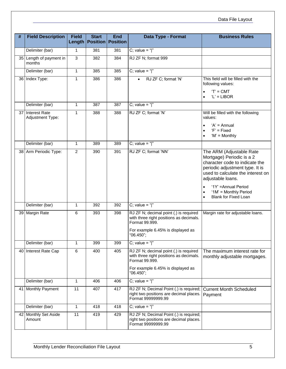| $\#$ | <b>Field Description</b>             | <b>Field</b>   | <b>Start</b><br>Length   Position   Position | <b>End</b>      | Data Type - Format                                                                                                                                    | <b>Business Rules</b>                                                                                                                                                                                                                                                |
|------|--------------------------------------|----------------|----------------------------------------------|-----------------|-------------------------------------------------------------------------------------------------------------------------------------------------------|----------------------------------------------------------------------------------------------------------------------------------------------------------------------------------------------------------------------------------------------------------------------|
|      | Delimiter (bar)                      | 1              | 381                                          | 381             | C; value = " $ $ "                                                                                                                                    |                                                                                                                                                                                                                                                                      |
|      | 35 Length of payment in<br>months    | 3              | 382                                          | 384             | RJ ZF N; format 999                                                                                                                                   |                                                                                                                                                                                                                                                                      |
|      | Delimiter (bar)                      | $\mathbf{1}$   | 385                                          | 385             | C; value = " $"$                                                                                                                                      |                                                                                                                                                                                                                                                                      |
|      | 36 Index Type:                       | $\mathbf{1}$   | 386                                          | 386             | RJ ZF C; format 'N'                                                                                                                                   | This field will be filled with the<br>following values:<br>$T = CMT$<br>$'L' = LIBOR$                                                                                                                                                                                |
|      | Delimiter (bar)                      | $\mathbf{1}$   | 387                                          | 387             | C; value = " $ $ "                                                                                                                                    |                                                                                                                                                                                                                                                                      |
|      | 37 Interest Rate<br>Adjustment Type: | $\mathbf{1}$   | 388                                          | 388             | RJ ZF C; format 'N'                                                                                                                                   | Will be filled with the following<br>values:<br>$'A' = Annual$<br>$F = Fixed$<br>'M' = Monthly                                                                                                                                                                       |
|      | Delimiter (bar)                      | $\mathbf{1}$   | 389                                          | 389             | C; value = " $"$                                                                                                                                      |                                                                                                                                                                                                                                                                      |
|      | 38 Arm Periodic Type:                | $\overline{2}$ | 390                                          | 391             | RJ ZF C; format 'NN'                                                                                                                                  | The ARM (Adjustable Rate<br>Mortgage) Periodic is a 2<br>character code to indicate the<br>periodic adjustment type. It is<br>used to calculate the interest on<br>adjustable loans.<br>'1Y' = Annual Period<br>'1M' = Monthly Period<br><b>Blank for Fixed Loan</b> |
|      | Delimiter (bar)                      | $\mathbf{1}$   | 392                                          | 392             | C; value = " $ $ "                                                                                                                                    |                                                                                                                                                                                                                                                                      |
|      | 39 Margin Rate                       | 6              | 393                                          | 398             | RJ ZF N; decimal point (.) is required<br>with three right positions as decimals.<br>Format 99.999.<br>For example 6.45% is displayed as<br>"06.450"; | Margin rate for adjustable loans.                                                                                                                                                                                                                                    |
|      | Delimiter (bar)                      | 1              | 399                                          | 399             | C; value = " $ $ "                                                                                                                                    |                                                                                                                                                                                                                                                                      |
|      | 40 Interest Rate Cap                 | 6              | 400                                          | 405             | RJ ZF N; decimal point (.) is required<br>with three right positions as decimals.<br>Format 99.999.<br>For example 6.45% is displayed as<br>"06.450"; | The maximum interest rate for<br>monthly adjustable mortgages.                                                                                                                                                                                                       |
|      | Delimiter (bar)                      | $\mathbf{1}$   | 406                                          | 40 <sub>6</sub> | C; value = " $"$                                                                                                                                      |                                                                                                                                                                                                                                                                      |
|      | 41 Monthly Payment                   | 11             | 407                                          | 417             | RJ ZF N; Decimal Point (.) is required;<br>right two positions are decimal places.<br>Format 99999999.99                                              | <b>Current Month Scheduled</b><br>Payment                                                                                                                                                                                                                            |
|      | Delimiter (bar)                      | 1              | 418                                          | 418             | C; value = " $\vert$ "                                                                                                                                |                                                                                                                                                                                                                                                                      |
|      | 42 Monthly Set Aside<br>Amount       | 11             | 419                                          | 429             | RJ ZF N; Decimal Point (.) is required;<br>right two positions are decimal places.<br>Format 99999999.99                                              |                                                                                                                                                                                                                                                                      |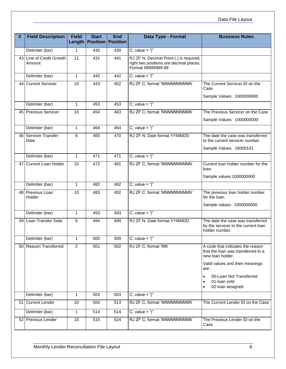| # | <b>Field Description</b>           | <b>Field</b><br>Length | <b>Start</b><br><b>Position Position</b> | <b>End</b> | Data Type - Format                                                                                       | <b>Business Rules</b>                                                                              |
|---|------------------------------------|------------------------|------------------------------------------|------------|----------------------------------------------------------------------------------------------------------|----------------------------------------------------------------------------------------------------|
|   | Delimiter (bar)                    | $\mathbf{1}$           | 430                                      | 430        | C; value = " $ $ "                                                                                       |                                                                                                    |
|   | 43 Line of Credit Growth<br>Amount | 11                     | 431                                      | 441        | RJ ZF N; Decimal Point (.) is required;<br>right two positions are decimal places.<br>Format 99999999.99 |                                                                                                    |
|   | Delimiter (bar)                    | $\mathbf{1}$           | 442                                      | 442        | C; value = " $"$                                                                                         |                                                                                                    |
|   | 44 Current Servicer                | 10                     | 443                                      | 452        | RJ ZF C; format 'NNNNNNNNNN'                                                                             | The Current Servicer ID on the<br>Case<br>Sample Values: 1000000000                                |
|   | Delimiter (bar)                    | $\mathbf{1}$           | 453                                      | 453        | C; value = " $ $ "                                                                                       |                                                                                                    |
|   | 45 Previous Servicer               | 10                     | 454                                      | 463        | RJ ZF C; format 'NNNNNNNNNN'                                                                             | The Previous Servicer on the Case<br>Sample Values: 1000000000                                     |
|   | Delimiter (bar)                    | $\mathbf{1}$           | 464                                      | 464        | C; value = " $ $ "                                                                                       |                                                                                                    |
|   | 46 Servicer Transfer<br>Date       | 6                      | 465                                      | 470        | RJ ZF N; Date format YYMMDD                                                                              | The date the case was transferred<br>to the current servicer number.                               |
|   | Delimiter (bar)                    | $\mathbf{1}$           | 471                                      | 471        | C; value = " $"$                                                                                         | Sample Values: 18000101                                                                            |
|   | 47 Current Loan Holder             | 10                     | 472                                      | 481        | RJ ZF C; format 'NNNNNNNNNN'                                                                             | Current loan holder number for the<br>loan.                                                        |
|   |                                    |                        |                                          |            |                                                                                                          | Sample values: 1000000000                                                                          |
|   | Delimiter (bar)                    | $\mathbf{1}$           | 482                                      | 482        | C; value = " $"$                                                                                         |                                                                                                    |
|   | 48 Previous Loan<br>Holder         | 10                     | 483                                      | 492        | RJ ZF C; format 'NNNNNNNNNN'                                                                             | The previous loan holder number<br>for the loan.                                                   |
|   |                                    |                        |                                          |            |                                                                                                          | Sample values: 1000000000                                                                          |
|   | Delimiter (bar)                    | $\mathbf{1}$           | 493                                      | 493        | C; value = " $"$                                                                                         |                                                                                                    |
|   | 49 Loan Transfer Date              | 6                      | 494                                      | 499        | RJ ZF N; Date format YYMMDD                                                                              | The date the case was transferred<br>by the servicer to the current loan<br>holder number.         |
|   | Delimiter (bar)                    | 1                      | 500                                      | 500        | C; value = " $ $ "                                                                                       |                                                                                                    |
|   | 50 Reason Transferred              | $\overline{2}$         | 501                                      | 502        | RJ ZF C; format 'NN'                                                                                     | A code that indicates the reason<br>that the loan was transferred to a<br>new loan holder.         |
|   |                                    |                        |                                          |            |                                                                                                          | Valid values and their meanings<br>are:                                                            |
|   |                                    |                        |                                          |            |                                                                                                          | 00-Loan Not Transferred<br>$\bullet$<br>01-loan sold<br>$\bullet$<br>02-loan assigned<br>$\bullet$ |
|   | Delimiter (bar)                    | $\mathbf{1}$           | 503                                      | 503        | C; value = " $ $ "                                                                                       |                                                                                                    |
|   | 51 Current Lender                  | 10                     | 504                                      | 513        | RJ ZF C; format 'NNNNNNNNNN'                                                                             | The Current Lender ID on the Case                                                                  |
|   | Delimiter (bar)                    | $\mathbf{1}$           | 514                                      | 514        | C; value = " $ $ "                                                                                       |                                                                                                    |
|   | 52 Previous Lender                 | 10                     | 515                                      | 524        | RJ ZF C; format 'NNNNNNNNNN'                                                                             | The Previous Lender ID on the<br>Case                                                              |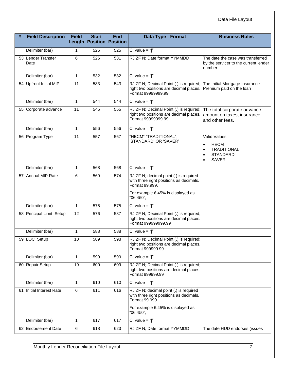| #  | <b>Field Description</b>   | <b>Field</b>    | <b>Start</b><br><b>Length Position Position</b> | <b>End</b> | Data Type - Format                                                                                                                                    | <b>Business Rules</b>                                                                 |
|----|----------------------------|-----------------|-------------------------------------------------|------------|-------------------------------------------------------------------------------------------------------------------------------------------------------|---------------------------------------------------------------------------------------|
|    | Delimiter (bar)            | 1               | 525                                             | 525        | C; value = " $ $ "                                                                                                                                    |                                                                                       |
| 53 | Lender Transfer<br>Date    | 6               | 526                                             | 531        | RJ ZF N; Date format YYMMDD                                                                                                                           | The date the case was transferred<br>by the servicer to the current lender<br>number. |
|    | Delimiter (bar)            | $\mathbf{1}$    | 532                                             | 532        | C; value = " $"$                                                                                                                                      |                                                                                       |
| 54 | <b>Upfront Initial MIP</b> | 11              | 533                                             | 543        | RJ ZF N; Decimal Point (.) is required;<br>right two positions are decimal places.<br>Format 99999999.99                                              | The Initial Mortgage Insurance<br>Premium paid on the loan                            |
|    | Delimiter (bar)            | $\mathbf{1}$    | 544                                             | 544        | C; value = " $\vert$ "                                                                                                                                |                                                                                       |
| 55 | Corporate advance          | $\overline{11}$ | 545                                             | 555        | RJ ZF N; Decimal Point (.) is required;<br>right two positions are decimal places.<br>Format 99999999.99                                              | The total corporate advance<br>amount on taxes, insurance,<br>and other fees.         |
|    | Delimiter (bar)            | $\mathbf{1}$    | 556                                             | 556        | C; value = " $"$                                                                                                                                      |                                                                                       |
|    | 56 Program Type            | 11              | 557                                             | 567        | "HECM" "TRADITIONAL",<br>'STANDARD' OR 'SAVER'                                                                                                        | Valid Values:<br><b>HECM</b><br><b>TRADITIONAL</b><br><b>STANDARD</b><br><b>SAVER</b> |
|    | Delimiter (bar)            | $\mathbf{1}$    | 568                                             | 568        | C; value = " $"$                                                                                                                                      |                                                                                       |
|    | 57 Annual MIP Rate         | 6               | 569                                             | 574        | RJ ZF N; decimal point (.) is required<br>with three right positions as decimals.<br>Format 99.999.<br>For example 6.45% is displayed as<br>"06.450"; |                                                                                       |
|    | Delimiter (bar)            | $\mathbf{1}$    | 575                                             | 575        | C; value = " $ $ "                                                                                                                                    |                                                                                       |
|    | 58 Principal Limit Setup   | 12              | 576                                             | 587        | RJ ZF N; Decimal Point (.) is required;<br>right two positions are decimal places.<br>Format 999999999.99                                             |                                                                                       |
|    | Delimiter (bar)            | $\mathbf{1}$    | 588                                             | 588        | C; value = " $"$                                                                                                                                      |                                                                                       |
|    | 59 LOC Setup               | 10              | 589                                             | 598        | RJ ZF N; Decimal Point (.) is required;<br>right two positions are decimal places.<br>Format 999999.99                                                |                                                                                       |
|    | Delimiter (bar)            | $\mathbf{1}$    | 599                                             | 599        | C; value = " $ $ "                                                                                                                                    |                                                                                       |
|    | 60 Repair Setup            | 10              | 600                                             | 609        | RJ ZF N; Decimal Point (.) is required;<br>right two positions are decimal places.<br>Format 999999.99                                                |                                                                                       |
|    | Delimiter (bar)            | $\mathbf{1}$    | 610                                             | 610        | C; value = " $\vert$ "                                                                                                                                |                                                                                       |
| 61 | Initial Interest Rate      | $\,6\,$         | 611                                             | 616        | RJ ZF N; decimal point (.) is required<br>with three right positions as decimals.<br>Format 99.999.<br>For example 6.45% is displayed as<br>"06.450"; |                                                                                       |
|    | Delimiter (bar)            | $\mathbf{1}$    | 617                                             | 617        | C; value = " $ $ "                                                                                                                                    |                                                                                       |
|    | 62 Endorsement Date        | $\,6\,$         | 618                                             | 623        | RJ ZF N; Date format YYMMDD                                                                                                                           | The date HUD endorses (issues                                                         |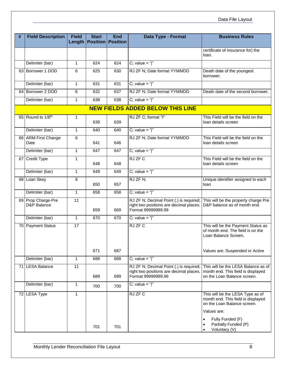| # | <b>Field Description</b>          | <b>Field</b> | <b>Start</b><br>Length   Position   Position | <b>End</b> | Data Type - Format                                                                                       | <b>Business Rules</b>                                                                                                |
|---|-----------------------------------|--------------|----------------------------------------------|------------|----------------------------------------------------------------------------------------------------------|----------------------------------------------------------------------------------------------------------------------|
|   |                                   |              |                                              |            |                                                                                                          | certificate of insurance for) the<br>loan.                                                                           |
|   | Delimiter (bar)                   | $\mathbf{1}$ | 624                                          | 624        | C; value = " $ $ "                                                                                       |                                                                                                                      |
|   | 63 Borrower 1 DOD                 | 6            | 625                                          | 630        | RJ ZF N; Date format YYMMDD                                                                              | Death date of the youngest<br>borrower.                                                                              |
|   | Delimiter (bar)                   | 1            | 631                                          | 631        | C; value = " $ $ "                                                                                       |                                                                                                                      |
|   | 64 Borrower 2 DOD                 | 6            | 632                                          | 637        | RJ ZF N; Date format YYMMDD                                                                              | Death date of the second borrower.                                                                                   |
|   | Delimiter (bar)                   | $\mathbf{1}$ | 638                                          | 638        | C; value = " $ $ "                                                                                       |                                                                                                                      |
|   |                                   |              |                                              |            | <b>NEW FIELDS ADDED BELOW THIS LINE</b>                                                                  |                                                                                                                      |
|   | 65 Round to 1/8th                 | 1            | 639                                          | 639        | RJ ZF C; format 'Y'                                                                                      | This Field will be the field on the<br>loan details screen                                                           |
|   | Delimiter (bar)                   | $\mathbf{1}$ | 640                                          | 640        | C; value = " $"$                                                                                         |                                                                                                                      |
|   | 66 ARM First Change<br>Date       | 6            | 641                                          | 646        | RJ ZF N; Date format YYMMDD                                                                              | This Field will be the field on the<br>loan details screen                                                           |
|   | Delimiter (bar)                   | $\mathbf{1}$ | 647                                          | 647        | C; value = " $"$                                                                                         |                                                                                                                      |
|   | 67 Credit Type                    | 1            | 648                                          | 648        | RJ ZF C                                                                                                  | This Field will be the field on the<br>loan details screen                                                           |
|   | Delimiter (bar)                   | $\mathbf{1}$ | 649                                          | 649        | C; value = " $"$                                                                                         |                                                                                                                      |
|   | 68 Loan Skey                      | 8            | 650                                          | 657        | RJ ZF N;                                                                                                 | Unique identifier assigned to each<br>loan                                                                           |
|   | Delimiter (bar)                   | $\mathbf{1}$ | 658                                          | 658        | C; value = " $\vert$ "                                                                                   |                                                                                                                      |
|   | 69 Prop Charge-Pre<br>D&P Balance | 11           | 659                                          | 669        | RJ ZF N; Decimal Point (.) is required;<br>right two positions are decimal places.<br>Format 99999999.99 | This will be the property charge Pre<br>D&P balance as of month end.                                                 |
|   | Delimiter (bar)                   | 1            | 670                                          | 670        | C; value = " $ $ "                                                                                       |                                                                                                                      |
|   | 70 Payment Status                 | 17           |                                              |            | RJ ZF C                                                                                                  | This will be the Payment Status as<br>of month end. The field is on the<br>Loan Balance Screen.                      |
|   |                                   |              | 671                                          | 687        |                                                                                                          | Values are: Suspended or Active                                                                                      |
|   | Delimiter (bar)                   | $\mathbf{1}$ | 688                                          | 688        | C; value = " $"$                                                                                         |                                                                                                                      |
|   | 71 LESA Balance                   | 11           | 689                                          | 699        | RJ ZF N; Decimal Point (.) is required;<br>right two positions are decimal places.<br>Format 99999999.99 | This will be the LESA Balance as of<br>month end. This field is displayed<br>on the Loan Balance screen.             |
|   | Delimiter (bar)                   | 1            | 700                                          | 700        | C; value = " $ $ "                                                                                       |                                                                                                                      |
|   | 72 LESA Type                      | 1            |                                              |            | RJ ZF C                                                                                                  | This will be the LESA Type as of<br>month end. This field is displayed<br>on the Loan Balance screen.<br>Values are: |
|   |                                   |              | 701                                          | 701        |                                                                                                          | Fully Funded (F)<br>Partially Funded (P)<br>Voluntary (V)                                                            |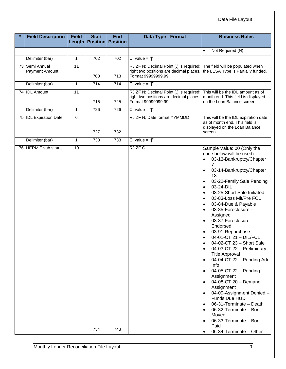### Data File Layout

| #    | <b>Field Description</b>         | <b>Field</b>    | <b>Start</b><br><b>Length Position Position</b> | <b>End</b>       | Data Type - Format                                                                                       | <b>Business Rules</b>                                                                                                                                                                                                                                                                                                                                                                                                                                                                                                                                                                                                                                                                                                                                                                                                                                                                                                                                   |
|------|----------------------------------|-----------------|-------------------------------------------------|------------------|----------------------------------------------------------------------------------------------------------|---------------------------------------------------------------------------------------------------------------------------------------------------------------------------------------------------------------------------------------------------------------------------------------------------------------------------------------------------------------------------------------------------------------------------------------------------------------------------------------------------------------------------------------------------------------------------------------------------------------------------------------------------------------------------------------------------------------------------------------------------------------------------------------------------------------------------------------------------------------------------------------------------------------------------------------------------------|
|      |                                  |                 |                                                 |                  |                                                                                                          | Not Required (N)<br>$\bullet$                                                                                                                                                                                                                                                                                                                                                                                                                                                                                                                                                                                                                                                                                                                                                                                                                                                                                                                           |
|      | Delimiter (bar)                  | $\mathbf{1}$    | 702                                             | 702              | C; value = " $ $ "                                                                                       |                                                                                                                                                                                                                                                                                                                                                                                                                                                                                                                                                                                                                                                                                                                                                                                                                                                                                                                                                         |
|      | 73 Semi Annual<br>Payment Amount | 11              | 703                                             | 713              | RJ ZF N; Decimal Point (.) is required;<br>right two positions are decimal places.<br>Format 99999999.99 | The field will be populated when<br>the LESA Type is Partially funded.                                                                                                                                                                                                                                                                                                                                                                                                                                                                                                                                                                                                                                                                                                                                                                                                                                                                                  |
|      | Delimiter (bar)                  | $\mathbf{1}$    | $\overline{714}$                                | $\overline{714}$ | C; value = " $\vert$ "                                                                                   |                                                                                                                                                                                                                                                                                                                                                                                                                                                                                                                                                                                                                                                                                                                                                                                                                                                                                                                                                         |
| 74 I | <b>IDL Amount</b>                | 11              | 715                                             | 725              | RJ ZF N; Decimal Point (.) is required;<br>right two positions are decimal places.<br>Format 99999999.99 | This will be the IDL amount as of<br>month end. This field is displayed<br>on the Loan Balance screen.                                                                                                                                                                                                                                                                                                                                                                                                                                                                                                                                                                                                                                                                                                                                                                                                                                                  |
|      | Delimiter (bar)                  | $\mathbf{1}$    | 726                                             | 726              | C; value = " $ $ "                                                                                       |                                                                                                                                                                                                                                                                                                                                                                                                                                                                                                                                                                                                                                                                                                                                                                                                                                                                                                                                                         |
|      | 75 IDL Expiration Date           | 6               | 727                                             | 732              | RJ ZF N; Date format YYMMDD                                                                              | This will be the IDL expiration date<br>as of month end. This field is<br>displayed on the Loan Balance<br>screen.                                                                                                                                                                                                                                                                                                                                                                                                                                                                                                                                                                                                                                                                                                                                                                                                                                      |
|      | Delimiter (bar)                  | $\mathbf{1}$    | 733                                             | 733              | C; value = " $ $ "                                                                                       |                                                                                                                                                                                                                                                                                                                                                                                                                                                                                                                                                                                                                                                                                                                                                                                                                                                                                                                                                         |
|      | 76 HERMIT sub status             | $\overline{10}$ | 734                                             | 743              | RJ ZF C                                                                                                  | Sample Value: 00 (Only the<br>code below will be used)<br>03-13-Bankruptcy/Chapter<br>$\bullet$<br>7<br>03-14-Bankruptcy/Chapter<br>$\bullet$<br>13<br>03-22-Family Sale Pending<br>$\bullet$<br>03-24-DIL<br>$\bullet$<br>03-25-Short Sale Initiated<br>$\bullet$<br>03-83-Loss Mit/Pre FCL<br>$\bullet$<br>03-84-Due & Payable<br>$\bullet$<br>03-85-Foreclosure -<br>$\bullet$<br>Assigned<br>03-87-Foreclosure -<br>$\bullet$<br>Endorsed<br>03-91-Repurchase<br>04-01-CT 21 - DIL/FCL<br>$\bullet$<br>04-02-CT 23 - Short Sale<br>$\bullet$<br>04-03-CT 22 - Preliminary<br>$\bullet$<br><b>Title Approval</b><br>04-04-CT 22 - Pending Add<br>Info<br>04-05-CT 22 - Pending<br>Assignment<br>04-08-CT 20 - Demand<br>Assignment<br>04-09-Assignment Denied -<br>Funds Due HUD<br>06-31-Terminate - Death<br>$\bullet$<br>06-32-Terminate - Borr.<br>$\bullet$<br>Moved<br>06-33-Terminate - Borr.<br>$\bullet$<br>Paid<br>06-34-Terminate - Other |